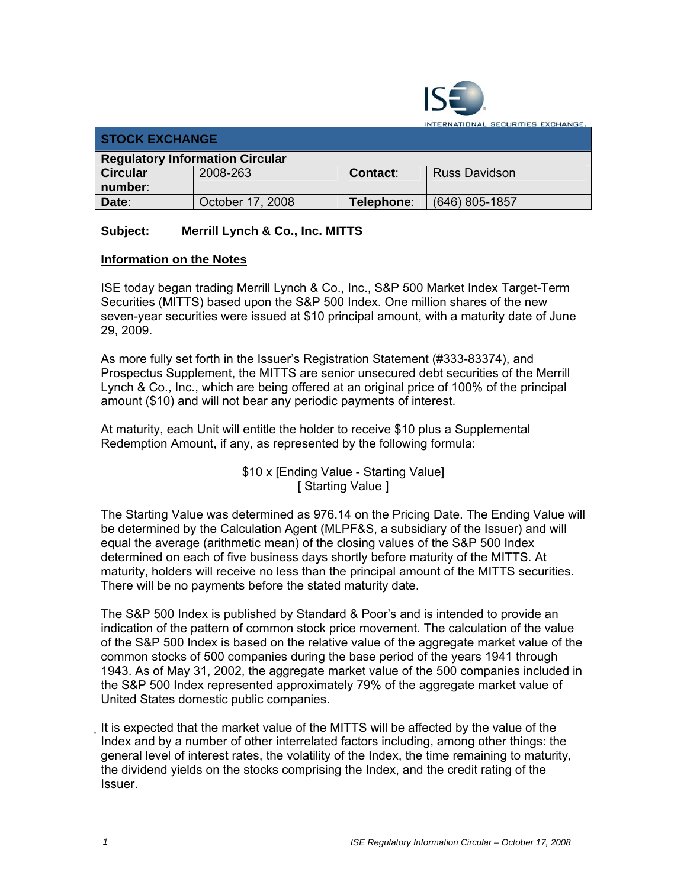

**TERNATIONAL SECURITIES EXCHANGE.** 

| <b>STOCK EXCHANGE</b>                  |                  |            |                      |  |  |
|----------------------------------------|------------------|------------|----------------------|--|--|
| <b>Regulatory Information Circular</b> |                  |            |                      |  |  |
| <b>Circular</b>                        | 2008-263         | Contact:   | <b>Russ Davidson</b> |  |  |
| number:                                |                  |            |                      |  |  |
| Date:                                  | October 17, 2008 | Telephone: | $(646)$ 805-1857     |  |  |

## **Subject: Merrill Lynch & Co., Inc. MITTS**

## **Information on the Notes**

ISE today began trading Merrill Lynch & Co., Inc., S&P 500 Market Index Target-Term Securities (MITTS) based upon the S&P 500 Index. One million shares of the new seven-year securities were issued at \$10 principal amount, with a maturity date of June 29, 2009.

As more fully set forth in the Issuer's Registration Statement (#333-83374), and Prospectus Supplement, the MITTS are senior unsecured debt securities of the Merrill Lynch & Co., Inc., which are being offered at an original price of 100% of the principal amount (\$10) and will not bear any periodic payments of interest.

At maturity, each Unit will entitle the holder to receive \$10 plus a Supplemental Redemption Amount, if any, as represented by the following formula:

> \$10 x [Ending Value - Starting Value] [ Starting Value ]

The Starting Value was determined as 976.14 on the Pricing Date. The Ending Value will be determined by the Calculation Agent (MLPF&S, a subsidiary of the Issuer) and will equal the average (arithmetic mean) of the closing values of the S&P 500 Index determined on each of five business days shortly before maturity of the MITTS. At maturity, holders will receive no less than the principal amount of the MITTS securities. There will be no payments before the stated maturity date.

The S&P 500 Index is published by Standard & Poor's and is intended to provide an indication of the pattern of common stock price movement. The calculation of the value of the S&P 500 Index is based on the relative value of the aggregate market value of the common stocks of 500 companies during the base period of the years 1941 through 1943. As of May 31, 2002, the aggregate market value of the 500 companies included in the S&P 500 Index represented approximately 79% of the aggregate market value of United States domestic public companies.

It is expected that the market value of the MITTS will be affected by the value of the Index and by a number of other interrelated factors including, among other things: the general level of interest rates, the volatility of the Index, the time remaining to maturity, the dividend yields on the stocks comprising the Index, and the credit rating of the Issuer.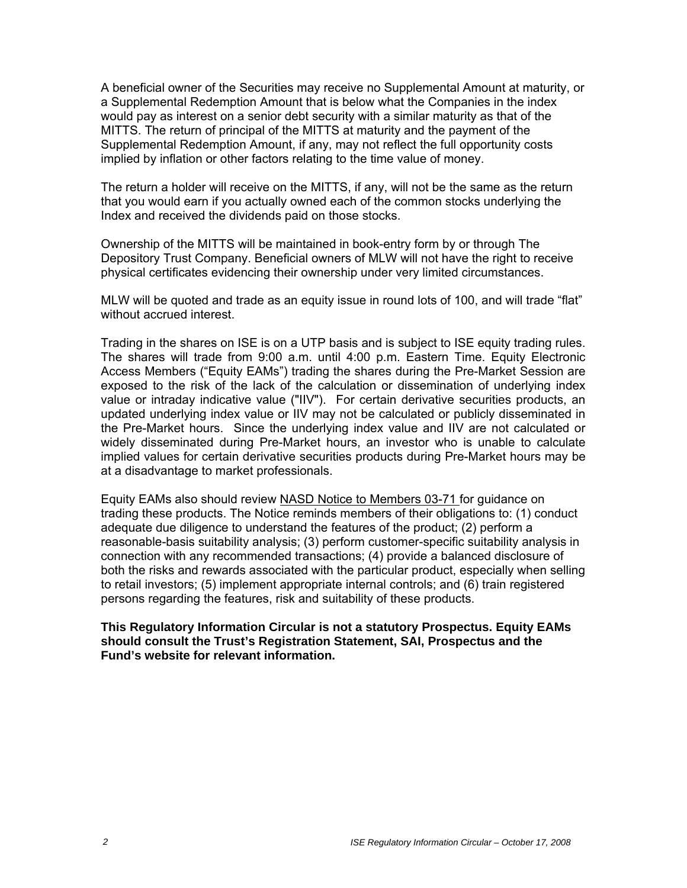A beneficial owner of the Securities may receive no Supplemental Amount at maturity, or a Supplemental Redemption Amount that is below what the Companies in the index would pay as interest on a senior debt security with a similar maturity as that of the MITTS. The return of principal of the MITTS at maturity and the payment of the Supplemental Redemption Amount, if any, may not reflect the full opportunity costs implied by inflation or other factors relating to the time value of money.

The return a holder will receive on the MITTS, if any, will not be the same as the return that you would earn if you actually owned each of the common stocks underlying the Index and received the dividends paid on those stocks.

Ownership of the MITTS will be maintained in book-entry form by or through The Depository Trust Company. Beneficial owners of MLW will not have the right to receive physical certificates evidencing their ownership under very limited circumstances.

MLW will be quoted and trade as an equity issue in round lots of 100, and will trade "flat" without accrued interest.

Trading in the shares on ISE is on a UTP basis and is subject to ISE equity trading rules. The shares will trade from 9:00 a.m. until 4:00 p.m. Eastern Time. Equity Electronic Access Members ("Equity EAMs") trading the shares during the Pre-Market Session are exposed to the risk of the lack of the calculation or dissemination of underlying index value or intraday indicative value ("IIV"). For certain derivative securities products, an updated underlying index value or IIV may not be calculated or publicly disseminated in the Pre-Market hours. Since the underlying index value and IIV are not calculated or widely disseminated during Pre-Market hours, an investor who is unable to calculate implied values for certain derivative securities products during Pre-Market hours may be at a disadvantage to market professionals.

Equity EAMs also should review NASD Notice to Members 03-71 for guidance on trading these products. The Notice reminds members of their obligations to: (1) conduct adequate due diligence to understand the features of the product; (2) perform a reasonable-basis suitability analysis; (3) perform customer-specific suitability analysis in connection with any recommended transactions; (4) provide a balanced disclosure of both the risks and rewards associated with the particular product, especially when selling to retail investors; (5) implement appropriate internal controls; and (6) train registered persons regarding the features, risk and suitability of these products.

**This Regulatory Information Circular is not a statutory Prospectus. Equity EAMs should consult the Trust's Registration Statement, SAI, Prospectus and the Fund's website for relevant information.**